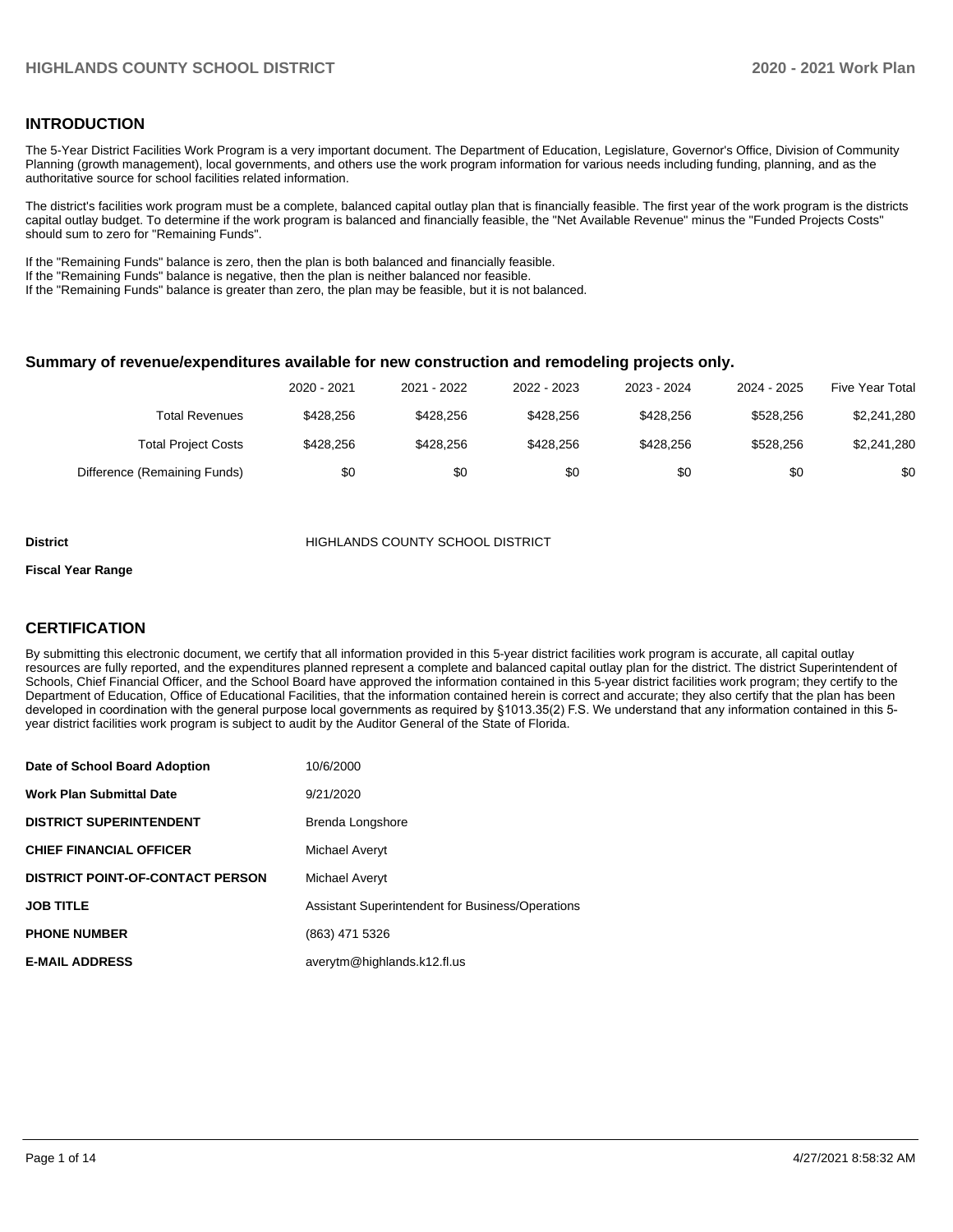### **INTRODUCTION**

The 5-Year District Facilities Work Program is a very important document. The Department of Education, Legislature, Governor's Office, Division of Community Planning (growth management), local governments, and others use the work program information for various needs including funding, planning, and as the authoritative source for school facilities related information.

The district's facilities work program must be a complete, balanced capital outlay plan that is financially feasible. The first year of the work program is the districts capital outlay budget. To determine if the work program is balanced and financially feasible, the "Net Available Revenue" minus the "Funded Projects Costs" should sum to zero for "Remaining Funds".

If the "Remaining Funds" balance is zero, then the plan is both balanced and financially feasible.

If the "Remaining Funds" balance is negative, then the plan is neither balanced nor feasible.

If the "Remaining Funds" balance is greater than zero, the plan may be feasible, but it is not balanced.

#### **Summary of revenue/expenditures available for new construction and remodeling projects only.**

|                              | 2020 - 2021 | 2021 - 2022 | 2022 - 2023 | 2023 - 2024 | 2024 - 2025 | <b>Five Year Total</b> |
|------------------------------|-------------|-------------|-------------|-------------|-------------|------------------------|
| Total Revenues               | \$428.256   | \$428.256   | \$428.256   | \$428.256   | \$528.256   | \$2,241,280            |
| <b>Total Project Costs</b>   | \$428.256   | \$428.256   | \$428.256   | \$428.256   | \$528.256   | \$2,241,280            |
| Difference (Remaining Funds) | \$0         | \$0         | \$0         | \$0         | \$0         | \$0                    |

#### **District COUNTY SCHOOL DISTRICT**

#### **Fiscal Year Range**

### **CERTIFICATION**

By submitting this electronic document, we certify that all information provided in this 5-year district facilities work program is accurate, all capital outlay resources are fully reported, and the expenditures planned represent a complete and balanced capital outlay plan for the district. The district Superintendent of Schools, Chief Financial Officer, and the School Board have approved the information contained in this 5-year district facilities work program; they certify to the Department of Education, Office of Educational Facilities, that the information contained herein is correct and accurate; they also certify that the plan has been developed in coordination with the general purpose local governments as required by §1013.35(2) F.S. We understand that any information contained in this 5 year district facilities work program is subject to audit by the Auditor General of the State of Florida.

| Date of School Board Adoption           | 10/6/2000                                        |
|-----------------------------------------|--------------------------------------------------|
| <b>Work Plan Submittal Date</b>         | 9/21/2020                                        |
| <b>DISTRICT SUPERINTENDENT</b>          | Brenda Longshore                                 |
| <b>CHIEF FINANCIAL OFFICER</b>          | Michael Averyt                                   |
| <b>DISTRICT POINT-OF-CONTACT PERSON</b> | Michael Averyt                                   |
| <b>JOB TITLE</b>                        | Assistant Superintendent for Business/Operations |
| <b>PHONE NUMBER</b>                     | (863) 471 5326                                   |
| <b>E-MAIL ADDRESS</b>                   | averytm@highlands.k12.fl.us                      |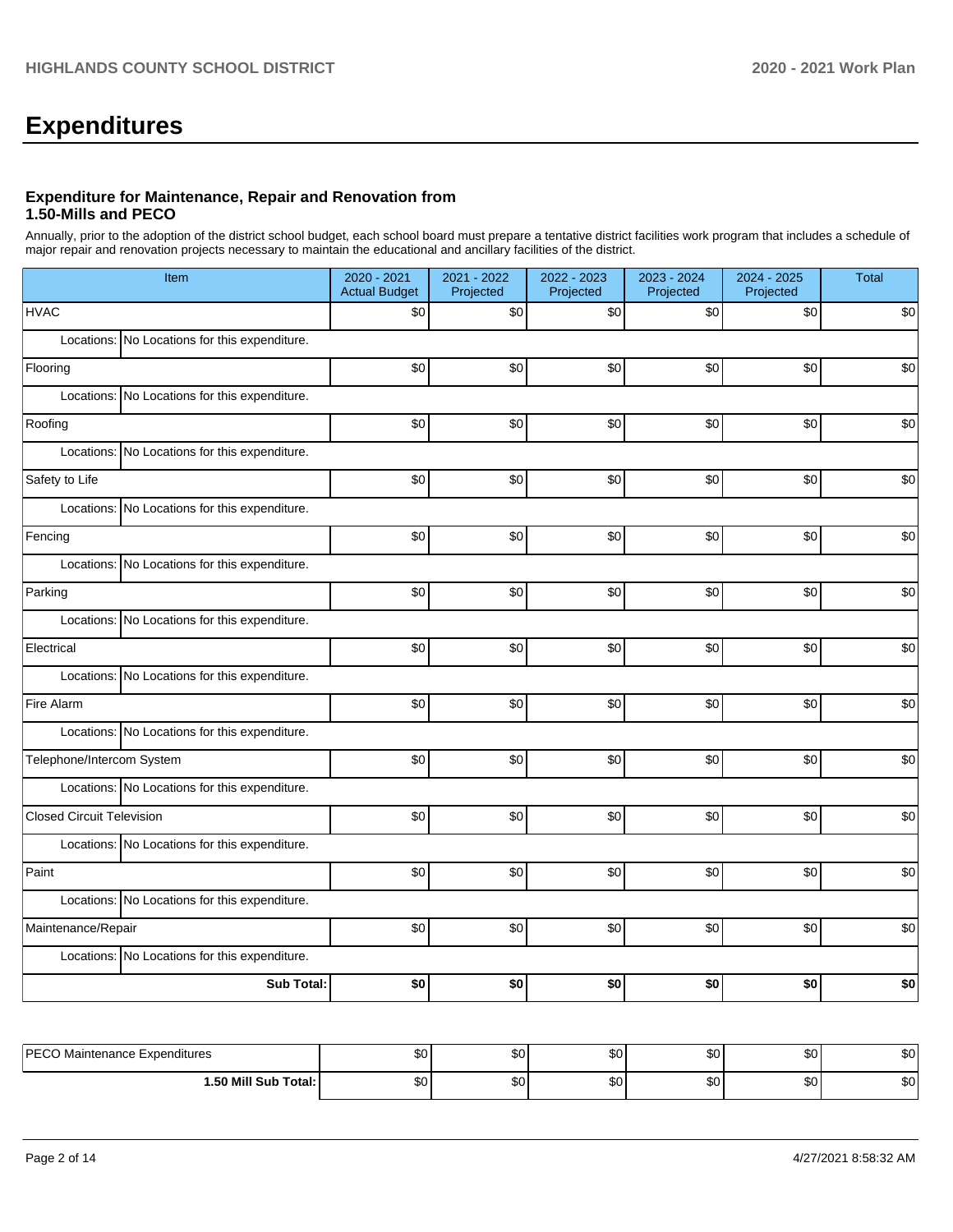# **Expenditures**

### **Expenditure for Maintenance, Repair and Renovation from 1.50-Mills and PECO**

Annually, prior to the adoption of the district school budget, each school board must prepare a tentative district facilities work program that includes a schedule of major repair and renovation projects necessary to maintain the educational and ancillary facilities of the district.

| Item                                             | 2020 - 2021<br><b>Actual Budget</b> | 2021 - 2022<br>Projected | 2022 - 2023<br>Projected | 2023 - 2024<br>Projected | 2024 - 2025<br>Projected | Total |
|--------------------------------------------------|-------------------------------------|--------------------------|--------------------------|--------------------------|--------------------------|-------|
| <b>HVAC</b>                                      | \$0                                 | \$0                      | \$0                      | \$0                      | \$0                      | \$0   |
| Locations: No Locations for this expenditure.    |                                     |                          |                          |                          |                          |       |
| Flooring                                         | \$0                                 | \$0                      | \$0                      | \$0                      | \$0                      | \$0   |
| Locations: No Locations for this expenditure.    |                                     |                          |                          |                          |                          |       |
| Roofing                                          | \$0                                 | \$0                      | \$0                      | \$0                      | \$0                      | \$0   |
| Locations:<br>No Locations for this expenditure. |                                     |                          |                          |                          |                          |       |
| Safety to Life                                   | \$0                                 | \$0                      | \$0                      | \$0                      | \$0                      | \$0   |
| No Locations for this expenditure.<br>Locations: |                                     |                          |                          |                          |                          |       |
| Fencing                                          | \$0                                 | \$0                      | \$0                      | \$0                      | \$0                      | \$0   |
| Locations: No Locations for this expenditure.    |                                     |                          |                          |                          |                          |       |
| Parking                                          | \$0                                 | \$0                      | \$0                      | \$0                      | \$0                      | \$0   |
| Locations: No Locations for this expenditure.    |                                     |                          |                          |                          |                          |       |
| Electrical                                       | \$0                                 | \$0                      | \$0                      | \$0                      | \$0                      | \$0   |
| Locations: No Locations for this expenditure.    |                                     |                          |                          |                          |                          |       |
| Fire Alarm                                       | \$0                                 | \$0                      | \$0                      | \$0                      | \$0                      | \$0   |
| Locations: No Locations for this expenditure.    |                                     |                          |                          |                          |                          |       |
| Telephone/Intercom System                        | \$0                                 | \$0                      | \$0                      | \$0                      | \$0                      | \$0   |
| Locations: No Locations for this expenditure.    |                                     |                          |                          |                          |                          |       |
| <b>Closed Circuit Television</b>                 | \$0                                 | \$0                      | \$0                      | \$0                      | \$0                      | \$0   |
| Locations: No Locations for this expenditure.    |                                     |                          |                          |                          |                          |       |
| Paint                                            | \$0                                 | \$0                      | \$0                      | \$0                      | \$0                      | \$0   |
| Locations: No Locations for this expenditure.    |                                     |                          |                          |                          |                          |       |
| Maintenance/Repair                               | \$0                                 | \$0                      | \$0                      | \$0                      | \$0                      | \$0   |
| Locations: No Locations for this expenditure.    |                                     |                          |                          |                          |                          |       |
| <b>Sub Total:</b>                                | \$0                                 | \$0                      | \$0                      | \$0                      | \$0                      | \$0   |
|                                                  |                                     |                          |                          |                          |                          |       |
| PECO Maintenance Expenditures                    | \$0                                 | \$0                      | \$0                      | \$0                      | \$0                      | \$0   |

**1.50 Mill Sub Total:** \$0 \$0 \$0 \$0 \$0 \$0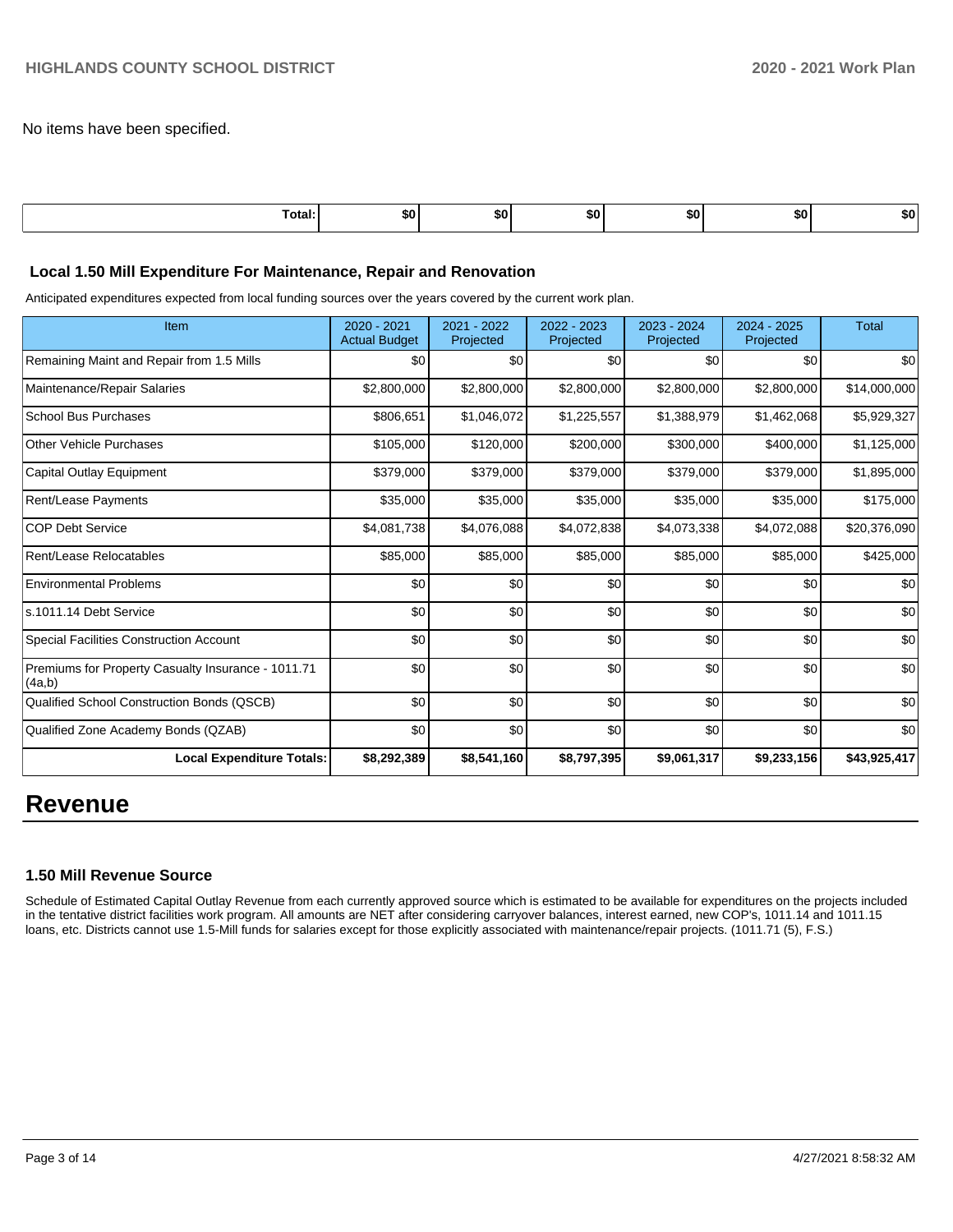No items have been specified.

| Total: | т.<br>- JU ' | SO I | SO I | . | <br>w |
|--------|--------------|------|------|---|-------|
|        |              |      |      |   |       |

#### **Local 1.50 Mill Expenditure For Maintenance, Repair and Renovation**

Anticipated expenditures expected from local funding sources over the years covered by the current work plan.

| Item                                                         | 2020 - 2021<br><b>Actual Budget</b> | 2021 - 2022<br>Projected | 2022 - 2023<br>Projected | 2023 - 2024<br>Projected | 2024 - 2025<br>Projected | <b>Total</b> |
|--------------------------------------------------------------|-------------------------------------|--------------------------|--------------------------|--------------------------|--------------------------|--------------|
| Remaining Maint and Repair from 1.5 Mills                    | \$0                                 | \$0                      | \$0                      | \$0                      | \$0                      | \$0          |
| Maintenance/Repair Salaries                                  | \$2,800,000                         | \$2,800,000              | \$2,800,000              | \$2,800,000              | \$2,800,000              | \$14,000,000 |
| School Bus Purchases                                         | \$806,651                           | \$1,046,072              | \$1,225,557              | \$1,388,979              | \$1,462,068              | \$5,929,327  |
| <b>Other Vehicle Purchases</b>                               | \$105,000                           | \$120,000                | \$200,000                | \$300,000                | \$400,000                | \$1,125,000  |
| Capital Outlay Equipment                                     | \$379,000                           | \$379,000                | \$379,000                | \$379,000                | \$379,000                | \$1,895,000  |
| <b>Rent/Lease Payments</b>                                   | \$35,000                            | \$35,000                 | \$35,000                 | \$35,000                 | \$35,000                 | \$175,000    |
| <b>COP Debt Service</b>                                      | \$4,081,738                         | \$4,076,088              | \$4,072,838              | \$4,073,338              | \$4,072,088              | \$20,376,090 |
| Rent/Lease Relocatables                                      | \$85,000                            | \$85,000                 | \$85,000                 | \$85,000                 | \$85,000                 | \$425,000    |
| <b>Environmental Problems</b>                                | \$0                                 | \$0                      | \$0                      | \$0                      | \$0                      | \$0          |
| s.1011.14 Debt Service                                       | \$0                                 | \$0                      | \$0                      | \$0                      | \$0                      | \$0          |
| <b>Special Facilities Construction Account</b>               | \$0                                 | \$0                      | \$0                      | \$0                      | \$0                      | \$0          |
| Premiums for Property Casualty Insurance - 1011.71<br>(4a,b) | \$0                                 | \$0                      | \$0                      | \$0                      | \$0                      | \$0          |
| Qualified School Construction Bonds (QSCB)                   | \$0                                 | \$0                      | \$0                      | \$0                      | \$0                      | \$0          |
| Qualified Zone Academy Bonds (QZAB)                          | \$0                                 | \$0                      | \$0                      | \$0                      | \$0                      | \$0          |
| <b>Local Expenditure Totals:</b>                             | \$8,292,389                         | \$8,541,160              | \$8,797,395              | \$9,061,317              | \$9,233,156              | \$43,925,417 |

# **Revenue**

#### **1.50 Mill Revenue Source**

Schedule of Estimated Capital Outlay Revenue from each currently approved source which is estimated to be available for expenditures on the projects included in the tentative district facilities work program. All amounts are NET after considering carryover balances, interest earned, new COP's, 1011.14 and 1011.15 loans, etc. Districts cannot use 1.5-Mill funds for salaries except for those explicitly associated with maintenance/repair projects. (1011.71 (5), F.S.)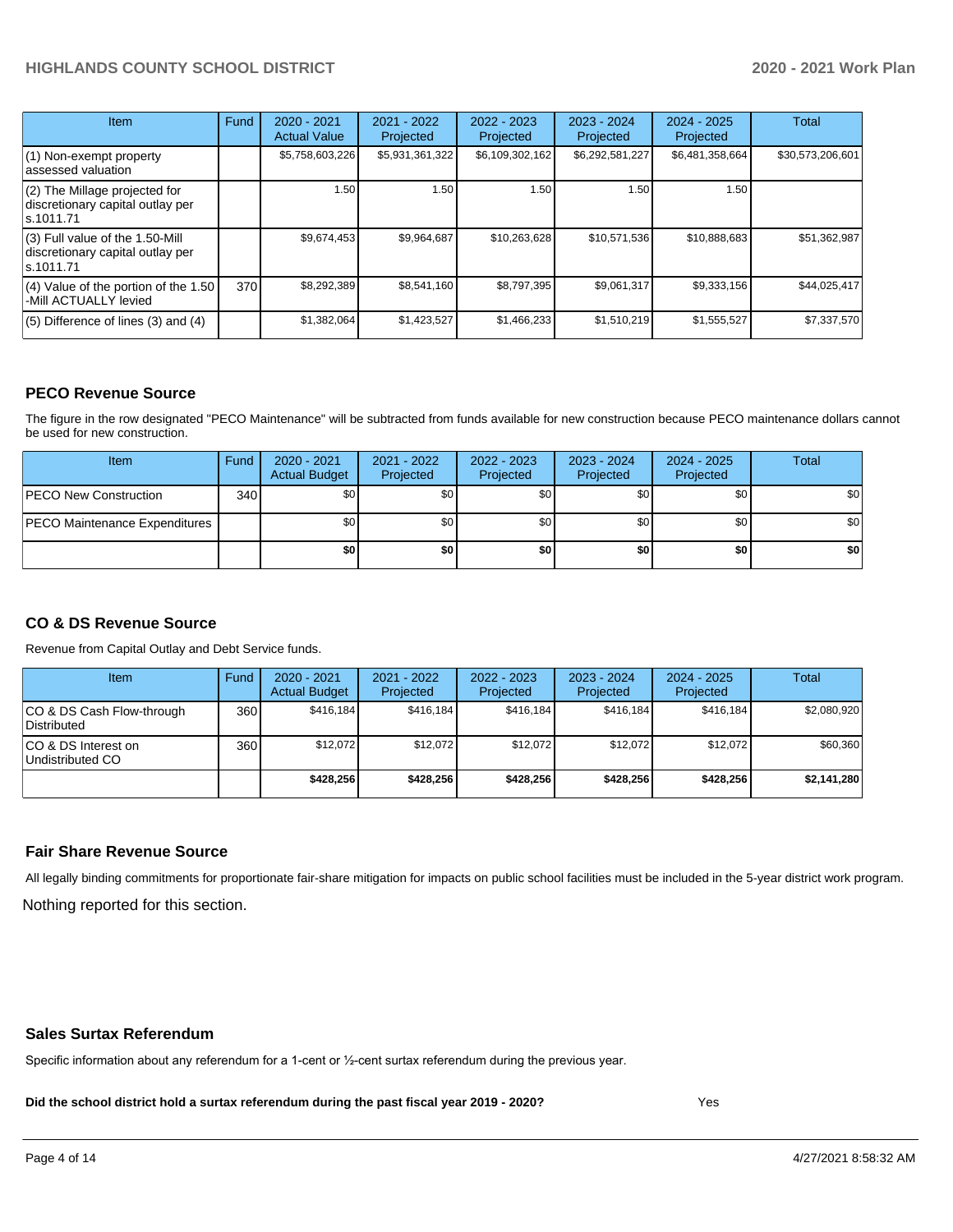| <b>Item</b>                                                                       | Fund | $2020 - 2021$<br><b>Actual Value</b> | $2021 - 2022$<br>Projected | $2022 - 2023$<br>Projected | 2023 - 2024<br>Projected | $2024 - 2025$<br>Projected | <b>Total</b>     |
|-----------------------------------------------------------------------------------|------|--------------------------------------|----------------------------|----------------------------|--------------------------|----------------------------|------------------|
| $(1)$ Non-exempt property<br>lassessed valuation                                  |      | \$5,758,603,226                      | \$5,931,361,322            | \$6,109,302,162            | \$6,292,581,227          | \$6,481,358,664            | \$30,573,206,601 |
| $(2)$ The Millage projected for<br>discretionary capital outlay per<br>ls.1011.71 |      | 1.50                                 | 1.50                       | 1.50                       | 1.50                     | 1.50                       |                  |
| (3) Full value of the 1.50-Mill<br>discretionary capital outlay per<br>ls.1011.71 |      | \$9,674,453                          | \$9,964,687                | \$10,263,628               | \$10,571,536             | \$10,888,683               | \$51,362,987     |
| (4) Value of the portion of the 1.50<br>-Mill ACTUALLY levied                     | 370I | \$8,292,389                          | \$8,541,160                | \$8,797,395                | \$9,061,317              | \$9,333,156                | \$44,025,417     |
| $(5)$ Difference of lines $(3)$ and $(4)$                                         |      | \$1,382,064                          | \$1,423,527                | \$1,466,233                | \$1,510,219              | \$1,555,527                | \$7,337,570      |

#### **PECO Revenue Source**

The figure in the row designated "PECO Maintenance" will be subtracted from funds available for new construction because PECO maintenance dollars cannot be used for new construction.

| Item                                 | Fund | $2020 - 2021$<br><b>Actual Budget</b> | 2021 - 2022<br>Projected | 2022 - 2023<br>Projected | 2023 - 2024<br>Projected | $2024 - 2025$<br>Projected | Total            |
|--------------------------------------|------|---------------------------------------|--------------------------|--------------------------|--------------------------|----------------------------|------------------|
| <b>PECO New Construction</b>         | 340  | \$0                                   | \$0 <sub>1</sub>         | \$0                      | \$0 <sub>1</sub>         | \$0 <sub>1</sub>           | \$0 <sub>1</sub> |
| <b>PECO Maintenance Expenditures</b> |      | ا 30                                  | \$٥١                     | \$0                      | \$0 <sub>1</sub>         | \$0                        | \$0              |
|                                      |      | \$0                                   | \$0                      | \$0                      | \$0                      | \$0                        | \$0              |

### **CO & DS Revenue Source**

Revenue from Capital Outlay and Debt Service funds.

| <b>Item</b>                               | Fund | $2020 - 2021$<br><b>Actual Budget</b> | 2021 - 2022<br>Projected | 2022 - 2023<br>Projected | $2023 - 2024$<br>Projected | $2024 - 2025$<br>Projected | Total       |
|-------------------------------------------|------|---------------------------------------|--------------------------|--------------------------|----------------------------|----------------------------|-------------|
| ICO & DS Cash Flow-through<br>Distributed | 360  | \$416.184                             | \$416.184                | \$416.184                | \$416.184                  | \$416.184                  | \$2,080,920 |
| ICO & DS Interest on<br>Undistributed CO  | 360  | \$12.072                              | \$12.072                 | \$12.072                 | \$12.072                   | \$12.072                   | \$60,360    |
|                                           |      | \$428.256                             | \$428.256                | \$428,256                | \$428.256                  | \$428.256                  | \$2,141,280 |

#### **Fair Share Revenue Source**

Nothing reported for this section. All legally binding commitments for proportionate fair-share mitigation for impacts on public school facilities must be included in the 5-year district work program.

#### **Sales Surtax Referendum**

Specific information about any referendum for a 1-cent or ½-cent surtax referendum during the previous year.

**Did the school district hold a surtax referendum during the past fiscal year 2019 - 2020?**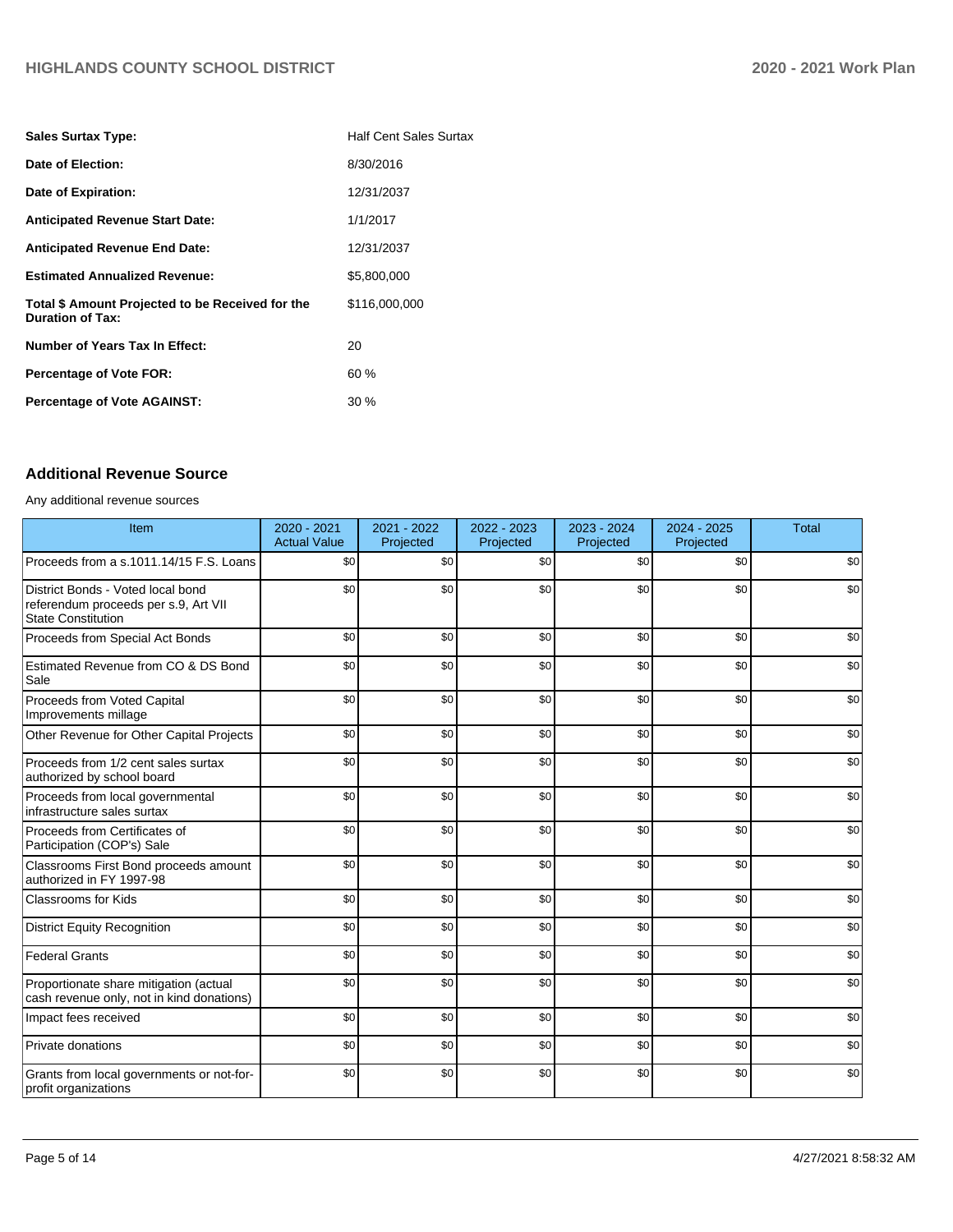| <b>Sales Surtax Type:</b>                                                   | <b>Half Cent Sales Surtax</b> |
|-----------------------------------------------------------------------------|-------------------------------|
| Date of Election:                                                           | 8/30/2016                     |
| Date of Expiration:                                                         | 12/31/2037                    |
| <b>Anticipated Revenue Start Date:</b>                                      | 1/1/2017                      |
| <b>Anticipated Revenue End Date:</b>                                        | 12/31/2037                    |
| <b>Estimated Annualized Revenue:</b>                                        | \$5,800,000                   |
| Total \$ Amount Projected to be Received for the<br><b>Duration of Tax:</b> | \$116,000,000                 |
| Number of Years Tax In Effect:                                              | 20                            |
| <b>Percentage of Vote FOR:</b>                                              | 60%                           |
| <b>Percentage of Vote AGAINST:</b>                                          | $30\%$                        |

# **Additional Revenue Source**

Any additional revenue sources

| Item                                                                                                   | 2020 - 2021<br><b>Actual Value</b> | 2021 - 2022<br>Projected | 2022 - 2023<br>Projected | 2023 - 2024<br>Projected | 2024 - 2025<br>Projected | <b>Total</b> |
|--------------------------------------------------------------------------------------------------------|------------------------------------|--------------------------|--------------------------|--------------------------|--------------------------|--------------|
| Proceeds from a s.1011.14/15 F.S. Loans                                                                | \$0                                | \$0                      | \$0                      | \$0                      | \$0                      | \$0          |
| District Bonds - Voted local bond<br>referendum proceeds per s.9, Art VII<br><b>State Constitution</b> | \$0                                | \$0                      | \$0                      | \$0                      | \$0                      | \$0          |
| Proceeds from Special Act Bonds                                                                        | \$0                                | \$0                      | \$0                      | \$0                      | \$0                      | \$0          |
| Estimated Revenue from CO & DS Bond<br>Sale                                                            | \$0                                | \$0                      | \$0                      | \$0                      | \$0                      | \$0          |
| Proceeds from Voted Capital<br>Improvements millage                                                    | \$0                                | \$0                      | \$0                      | \$0                      | \$0                      | \$0          |
| Other Revenue for Other Capital Projects                                                               | \$0                                | \$0                      | \$0                      | \$0                      | \$0                      | \$0          |
| Proceeds from 1/2 cent sales surtax<br>authorized by school board                                      | \$0                                | \$0                      | \$0                      | \$0                      | \$0                      | \$0          |
| Proceeds from local governmental<br>infrastructure sales surtax                                        | \$0                                | \$0                      | \$0                      | \$0                      | \$0                      | \$0          |
| Proceeds from Certificates of<br>Participation (COP's) Sale                                            | \$0                                | \$0                      | \$0                      | \$0                      | \$0                      | \$0          |
| Classrooms First Bond proceeds amount<br>authorized in FY 1997-98                                      | \$0                                | \$0                      | \$0                      | \$0                      | \$0                      | \$0          |
| <b>Classrooms for Kids</b>                                                                             | \$0                                | \$0                      | \$0                      | \$0                      | \$0                      | \$0          |
| <b>District Equity Recognition</b>                                                                     | \$0                                | \$0                      | \$0                      | \$0                      | \$0                      | \$0          |
| <b>Federal Grants</b>                                                                                  | \$0                                | \$0                      | \$0                      | \$0                      | \$0                      | \$0          |
| Proportionate share mitigation (actual<br>cash revenue only, not in kind donations)                    | \$0                                | \$0                      | \$0                      | \$0                      | \$0                      | \$0          |
| Impact fees received                                                                                   | \$0                                | \$0                      | \$0                      | \$0                      | \$0                      | \$0          |
| Private donations                                                                                      | \$0                                | \$0                      | \$0                      | \$0                      | \$0                      | \$0          |
| Grants from local governments or not-for-<br>profit organizations                                      | \$0                                | \$0                      | \$0                      | \$0                      | \$0                      | \$0          |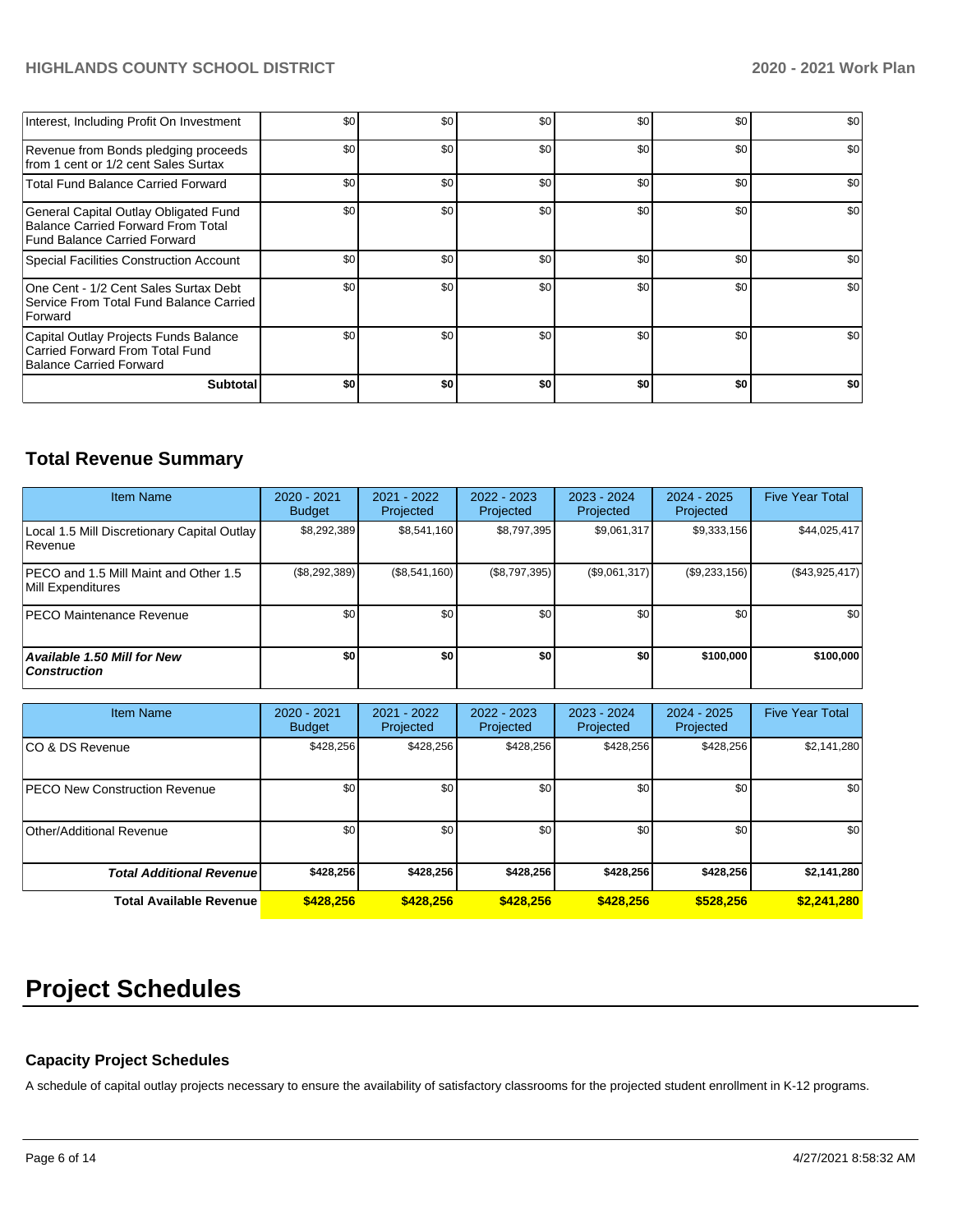| <b>Subtotal</b>                                                                                                    | \$0 | \$0 | \$0 | \$0 | \$0 | \$0 |
|--------------------------------------------------------------------------------------------------------------------|-----|-----|-----|-----|-----|-----|
| Capital Outlay Projects Funds Balance<br>Carried Forward From Total Fund<br>Balance Carried Forward                | \$0 | \$0 | \$0 | \$0 | \$0 | \$0 |
| One Cent - 1/2 Cent Sales Surtax Debt<br>Service From Total Fund Balance Carried<br><b>Forward</b>                 | \$0 | \$0 | \$0 | \$0 | \$0 | \$0 |
| Special Facilities Construction Account                                                                            | \$0 | \$0 | \$0 | \$0 | \$0 | \$0 |
| General Capital Outlay Obligated Fund<br><b>Balance Carried Forward From Total</b><br>Fund Balance Carried Forward | \$0 | \$0 | \$0 | \$0 | \$0 | \$0 |
| <b>Total Fund Balance Carried Forward</b>                                                                          | \$0 | \$0 | \$0 | \$0 | \$0 | \$0 |
| Revenue from Bonds pledging proceeds<br>from 1 cent or 1/2 cent Sales Surtax                                       | \$0 | \$0 | \$0 | \$0 | \$0 | \$0 |
| Interest, Including Profit On Investment                                                                           | \$0 | \$0 | \$0 | \$0 | \$0 | \$0 |

# **Total Revenue Summary**

| <b>Item Name</b>                                           | 2020 - 2021<br><b>Budget</b> | $2021 - 2022$<br>Projected | 2022 - 2023<br>Projected | $2023 - 2024$<br>Projected | 2024 - 2025<br>Projected | <b>Five Year Total</b> |
|------------------------------------------------------------|------------------------------|----------------------------|--------------------------|----------------------------|--------------------------|------------------------|
| Local 1.5 Mill Discretionary Capital Outlay<br>Revenue     | \$8,292,389                  | \$8,541,160                | \$8.797.395              | \$9.061.317                | \$9,333,156              | \$44,025,417           |
| PECO and 1.5 Mill Maint and Other 1.5<br>Mill Expenditures | $(\$8,292,389)$              | (\$8,541,160)              | (\$8,797,395)            | (\$9,061,317)              | (\$9,233,156)            | (\$43,925,417)         |
| <b>IPECO Maintenance Revenue</b>                           | \$0 <sub>1</sub>             | \$0                        | \$0                      | \$0                        | \$0                      | \$0                    |
| Available 1.50 Mill for New<br>  Construction              | \$0                          | \$0                        | \$0                      | \$0                        | \$100,000                | \$100,000              |

| <b>Item Name</b>                      | 2020 - 2021<br><b>Budget</b> | $2021 - 2022$<br>Projected | 2022 - 2023<br>Projected | 2023 - 2024<br>Projected | 2024 - 2025<br>Projected | <b>Five Year Total</b> |
|---------------------------------------|------------------------------|----------------------------|--------------------------|--------------------------|--------------------------|------------------------|
| ICO & DS Revenue                      | \$428,256                    | \$428,256                  | \$428,256                | \$428,256                | \$428,256                | \$2,141,280            |
| <b>IPECO New Construction Revenue</b> | \$0 <sub>l</sub>             | \$0                        | \$0                      | \$0                      | \$0                      | \$0                    |
| Other/Additional Revenue              | \$0                          | \$0                        | \$0                      | \$0                      | \$0                      | \$0                    |
| <b>Total Additional Revenuel</b>      | \$428,256                    | \$428,256                  | \$428.256                | \$428,256                | \$428,256                | \$2,141,280            |
| <b>Total Available Revenue</b>        | \$428.256                    | \$428.256                  | \$428,256                | \$428.256                | \$528.256                | \$2,241,280            |

# **Project Schedules**

# **Capacity Project Schedules**

A schedule of capital outlay projects necessary to ensure the availability of satisfactory classrooms for the projected student enrollment in K-12 programs.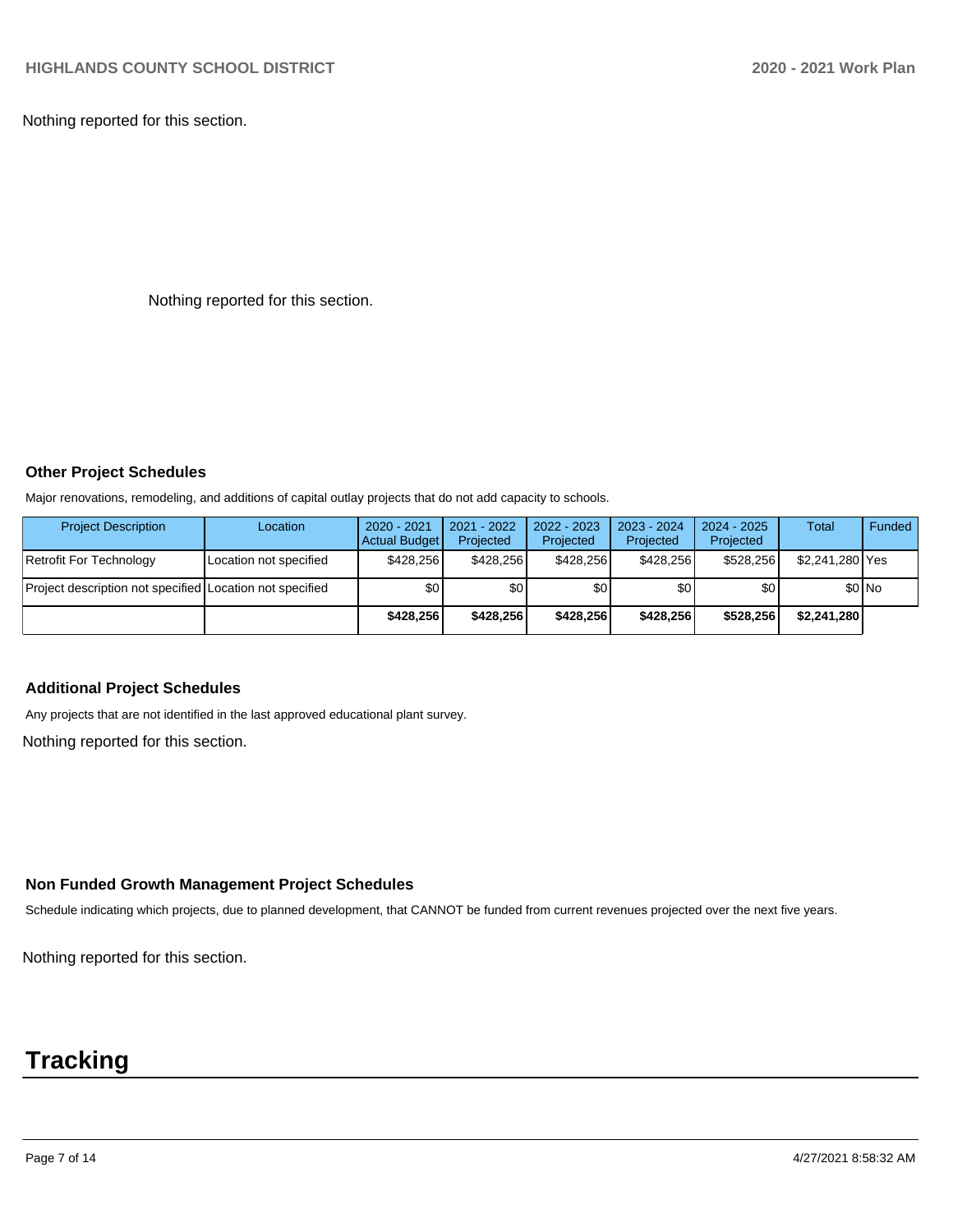Nothing reported for this section.

Nothing reported for this section.

#### **Other Project Schedules**

Major renovations, remodeling, and additions of capital outlay projects that do not add capacity to schools.

| <b>Project Description</b>                               | Location               | 2020 - 2021<br><b>Actual Budget</b> | 2021 - 2022<br>Projected | 2022 - 2023<br>Projected | 2023 - 2024<br>Projected | $2024 - 2025$<br>Projected | Total           | Funded  |
|----------------------------------------------------------|------------------------|-------------------------------------|--------------------------|--------------------------|--------------------------|----------------------------|-----------------|---------|
| Retrofit For Technology                                  | Location not specified | \$428.256                           | \$428.256                | \$428.256                | \$428.256                | \$528.256                  | \$2,241,280 Yes |         |
| Project description not specified Location not specified |                        | \$0                                 | \$0                      | \$0                      | \$0 I                    | \$0                        |                 | $$0$ No |
|                                                          |                        | \$428.256                           | \$428.256                | \$428.256                | \$428,256                | \$528.256                  | \$2,241,280     |         |

#### **Additional Project Schedules**

Any projects that are not identified in the last approved educational plant survey.

Nothing reported for this section.

### **Non Funded Growth Management Project Schedules**

Schedule indicating which projects, due to planned development, that CANNOT be funded from current revenues projected over the next five years.

Nothing reported for this section.

# **Tracking**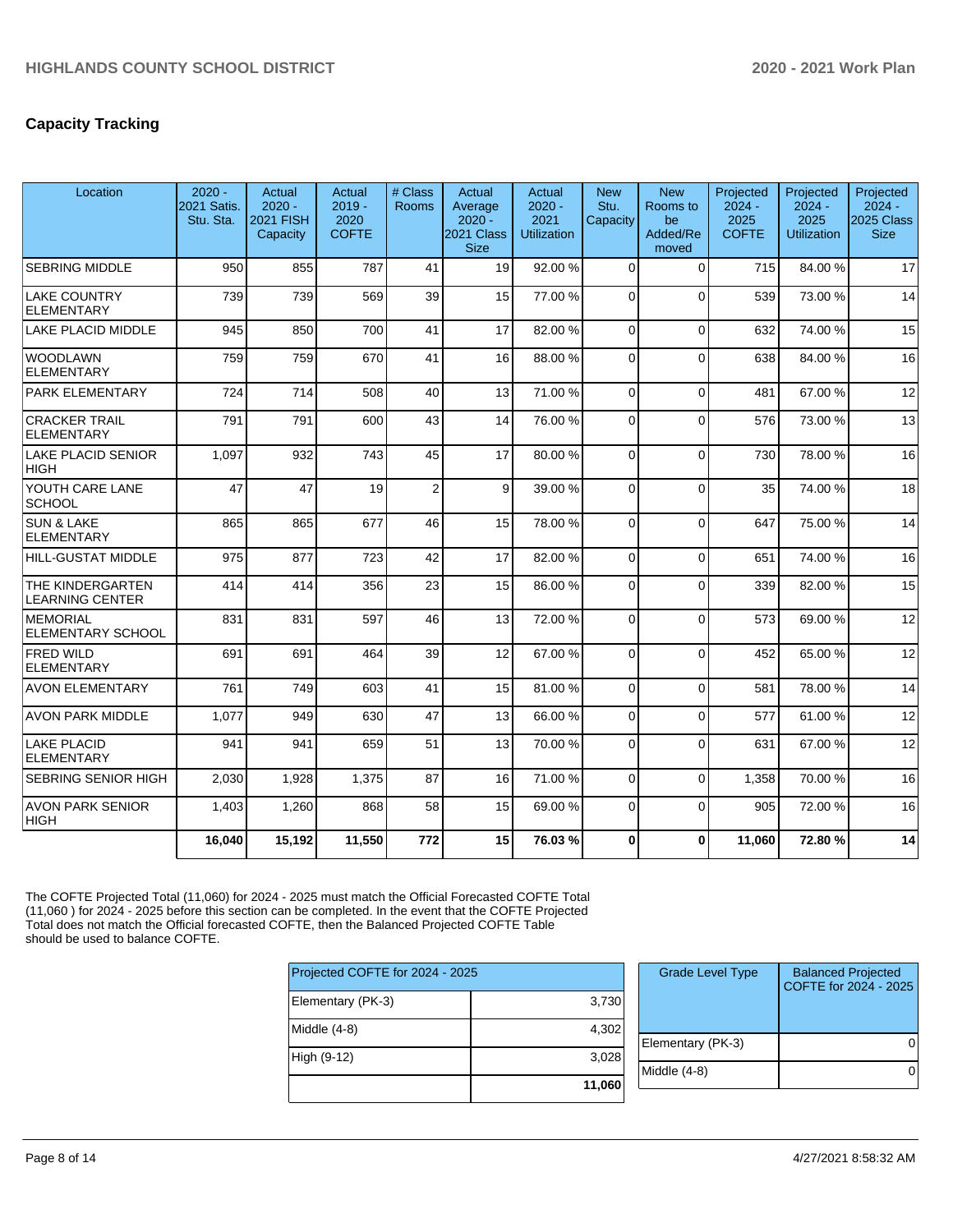# **Capacity Tracking**

| Location                                    | $2020 -$<br>2021 Satis.<br>Stu. Sta. | Actual<br>$2020 -$<br><b>2021 FISH</b><br>Capacity | Actual<br>$2019 -$<br>2020<br><b>COFTE</b> | # Class<br><b>Rooms</b> | Actual<br>Average<br>$2020 -$<br>2021 Class<br><b>Size</b> | Actual<br>$2020 -$<br>2021<br><b>Utilization</b> | <b>New</b><br>Stu.<br>Capacity | <b>New</b><br>Rooms to<br>be<br>Added/Re<br>moved | Projected<br>$2024 -$<br>2025<br><b>COFTE</b> | Projected<br>$2024 -$<br>2025<br><b>Utilization</b> | Projected<br>$2024 -$<br>2025 Class<br><b>Size</b> |
|---------------------------------------------|--------------------------------------|----------------------------------------------------|--------------------------------------------|-------------------------|------------------------------------------------------------|--------------------------------------------------|--------------------------------|---------------------------------------------------|-----------------------------------------------|-----------------------------------------------------|----------------------------------------------------|
| <b>SEBRING MIDDLE</b>                       | 950                                  | 855                                                | 787                                        | 41                      | 19                                                         | 92.00 %                                          | $\Omega$                       | $\Omega$                                          | 715                                           | 84.00 %                                             | 17                                                 |
| LAKE COUNTRY<br><b>ELEMENTARY</b>           | 739                                  | 739                                                | 569                                        | 39                      | 15                                                         | 77.00 %                                          | $\overline{0}$                 | $\Omega$                                          | 539                                           | 73.00 %                                             | 14                                                 |
| LAKE PLACID MIDDLE                          | 945                                  | 850                                                | 700                                        | 41                      | 17                                                         | 82.00 %                                          | $\Omega$                       | $\Omega$                                          | 632                                           | 74.00 %                                             | 15                                                 |
| <b>WOODLAWN</b><br><b>ELEMENTARY</b>        | 759                                  | 759                                                | 670                                        | 41                      | 16                                                         | 88.00%                                           | $\Omega$                       | $\Omega$                                          | 638                                           | 84.00%                                              | 16                                                 |
| PARK ELEMENTARY                             | 724                                  | 714                                                | 508                                        | 40                      | 13                                                         | 71.00 %                                          | $\Omega$                       | $\Omega$                                          | 481                                           | 67.00%                                              | 12                                                 |
| <b>CRACKER TRAIL</b><br><b>ELEMENTARY</b>   | 791                                  | 791                                                | 600                                        | 43                      | 14                                                         | 76.00 %                                          | $\Omega$                       | $\Omega$                                          | 576                                           | 73.00 %                                             | 13                                                 |
| LAKE PLACID SENIOR<br><b>HIGH</b>           | 1,097                                | 932                                                | 743                                        | 45                      | 17                                                         | 80.00 %                                          | $\Omega$                       | $\Omega$                                          | 730                                           | 78.00 %                                             | 16                                                 |
| YOUTH CARE LANE<br><b>SCHOOL</b>            | 47                                   | 47                                                 | 19                                         | $\overline{2}$          | 9                                                          | 39.00 %                                          | $\Omega$                       | $\Omega$                                          | 35                                            | 74.00 %                                             | 18                                                 |
| <b>SUN &amp; LAKE</b><br>ELEMENTARY         | 865                                  | 865                                                | 677                                        | 46                      | 15                                                         | 78.00 %                                          | $\Omega$                       | $\Omega$                                          | 647                                           | 75.00 %                                             | 14                                                 |
| HILL-GUSTAT MIDDLE                          | 975                                  | 877                                                | 723                                        | 42                      | 17                                                         | 82.00%                                           | $\overline{0}$                 | $\Omega$                                          | 651                                           | 74.00 %                                             | 16                                                 |
| THE KINDERGARTEN<br><b>LEARNING CENTER</b>  | 414                                  | 414                                                | 356                                        | 23                      | 15                                                         | 86.00 %                                          | $\Omega$                       | $\Omega$                                          | 339                                           | 82.00%                                              | 15                                                 |
| <b>MEMORIAL</b><br><b>ELEMENTARY SCHOOL</b> | 831                                  | 831                                                | 597                                        | 46                      | 13                                                         | 72.00 %                                          | $\Omega$                       | $\Omega$                                          | 573                                           | 69.00 %                                             | 12                                                 |
| <b>FRED WILD</b><br><b>ELEMENTARY</b>       | 691                                  | 691                                                | 464                                        | 39                      | 12                                                         | 67.00 %                                          | 0                              | $\Omega$                                          | 452                                           | 65.00 %                                             | 12                                                 |
| <b>AVON ELEMENTARY</b>                      | 761                                  | 749                                                | 603                                        | 41                      | 15                                                         | 81.00%                                           | 0                              | $\Omega$                                          | 581                                           | 78.00 %                                             | 14                                                 |
| <b>AVON PARK MIDDLE</b>                     | 1,077                                | 949                                                | 630                                        | 47                      | 13                                                         | 66.00 %                                          | $\Omega$                       | $\Omega$                                          | 577                                           | 61.00%                                              | 12                                                 |
| LAKE PLACID<br><b>ELEMENTARY</b>            | 941                                  | 941                                                | 659                                        | 51                      | 13                                                         | 70.00 %                                          | 0                              | $\Omega$                                          | 631                                           | 67.00 %                                             | 12                                                 |
| <b>SEBRING SENIOR HIGH</b>                  | 2,030                                | 1,928                                              | 1,375                                      | 87                      | 16                                                         | 71.00 %                                          | $\Omega$                       | $\Omega$                                          | 1,358                                         | 70.00%                                              | 16                                                 |
| <b>AVON PARK SENIOR</b><br> HIGH            | 1,403                                | 1,260                                              | 868                                        | 58                      | 15                                                         | 69.00%                                           | $\Omega$                       | $\Omega$                                          | 905                                           | 72.00 %                                             | 16                                                 |
|                                             | 16,040                               | 15,192                                             | 11,550                                     | 772                     | 15                                                         | 76.03%                                           | $\bf{0}$                       | $\bf{0}$                                          | 11,060                                        | 72.80 %                                             | 14                                                 |

The COFTE Projected Total (11,060) for 2024 - 2025 must match the Official Forecasted COFTE Total (11,060 ) for 2024 - 2025 before this section can be completed. In the event that the COFTE Projected Total does not match the Official forecasted COFTE, then the Balanced Projected COFTE Table should be used to balance COFTE.

| Projected COFTE for 2024 - 2025 |        |
|---------------------------------|--------|
| Elementary (PK-3)               | 3,730  |
| Middle $(4-8)$                  | 4,302  |
| High (9-12)                     | 3,028  |
|                                 | 11,060 |

| <b>Grade Level Type</b> | <b>Balanced Projected</b><br>COFTE for 2024 - 2025 |
|-------------------------|----------------------------------------------------|
| Elementary (PK-3)       |                                                    |
| Middle $(4-8)$          |                                                    |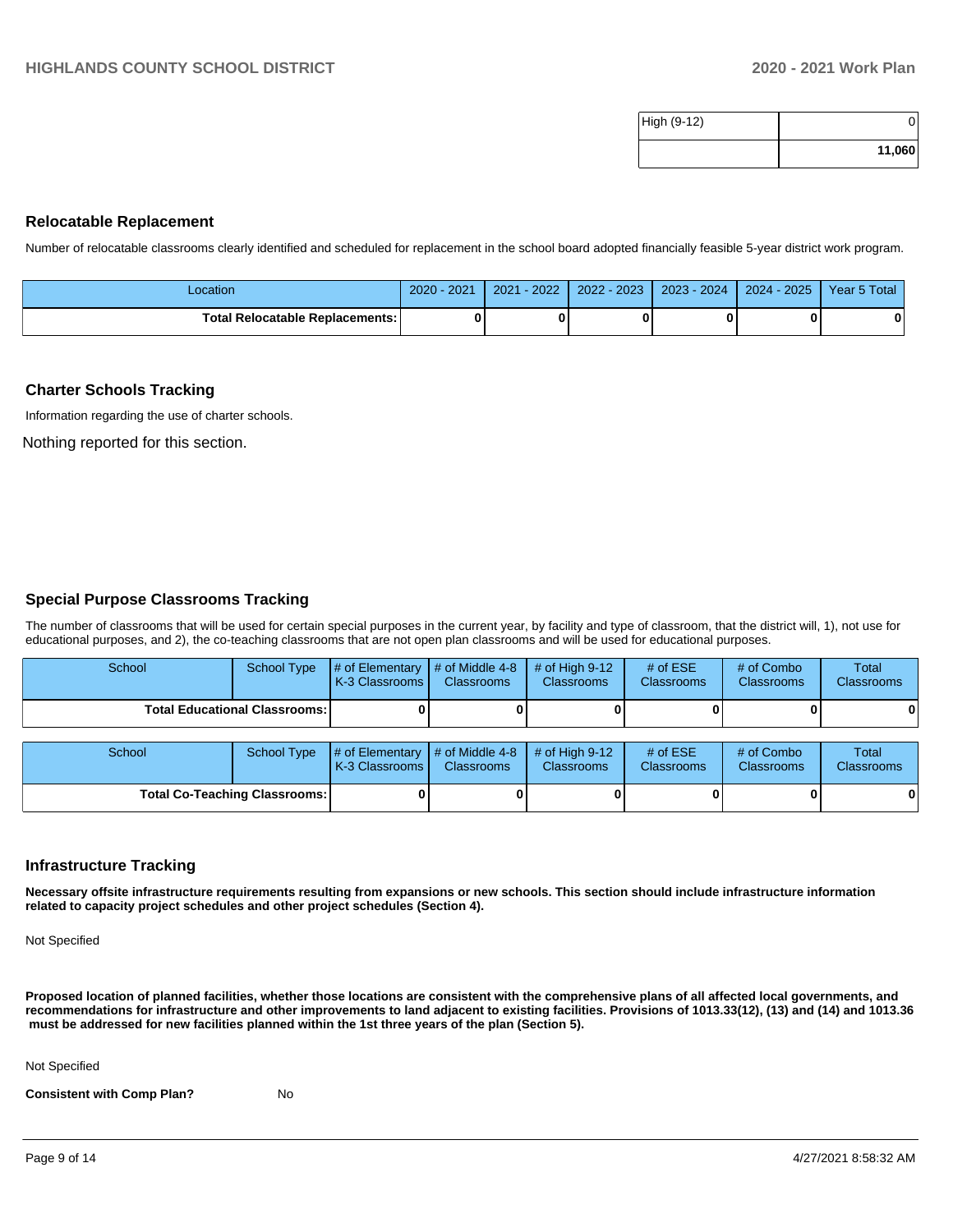| High (9-12) |        |
|-------------|--------|
|             | 11,060 |

#### **Relocatable Replacement**

Number of relocatable classrooms clearly identified and scheduled for replacement in the school board adopted financially feasible 5-year district work program.

| Location                               | $2020 - 2021$ | $-2022$<br>2021 | 2022 - 2023 | 2023 - 2024 | $2024 - 2025$ | Year 5 Total |
|----------------------------------------|---------------|-----------------|-------------|-------------|---------------|--------------|
| <b>Total Relocatable Replacements:</b> |               |                 |             |             |               |              |

#### **Charter Schools Tracking**

Information regarding the use of charter schools.

Nothing reported for this section.

#### **Special Purpose Classrooms Tracking**

The number of classrooms that will be used for certain special purposes in the current year, by facility and type of classroom, that the district will, 1), not use for educational purposes, and 2), the co-teaching classrooms that are not open plan classrooms and will be used for educational purposes.

| School | School Type                            | $\parallel$ # of Elementary $\parallel$ # of Middle 4-8 $\parallel$ # of High 9-12<br><b>K-3 Classrooms I</b> | <b>Classrooms</b> | <b>Classrooms</b> | # of $ESE$<br><b>Classrooms</b> | # of Combo<br><b>Classrooms</b> | Total<br><b>Classrooms</b> |
|--------|----------------------------------------|---------------------------------------------------------------------------------------------------------------|-------------------|-------------------|---------------------------------|---------------------------------|----------------------------|
|        | <b>Total Educational Classrooms: I</b> |                                                                                                               |                   |                   |                                 |                                 | 01                         |

| School |                                      | School Type $\left  \frac{1}{2}$ of Elementary $\left  \frac{1}{2}$ of Middle 4-8 $\right $ # of High 9-12<br><b>K-3 Classrooms I</b> | <b>Classrooms</b> | <b>Classrooms</b> | # of $ESE$<br><b>Classrooms</b> | # of Combo<br><b>Classrooms</b> | <b>Total</b><br><b>Classrooms</b> |
|--------|--------------------------------------|---------------------------------------------------------------------------------------------------------------------------------------|-------------------|-------------------|---------------------------------|---------------------------------|-----------------------------------|
|        | <b>Total Co-Teaching Classrooms:</b> |                                                                                                                                       |                   |                   |                                 | 0                               | 0                                 |

#### **Infrastructure Tracking**

**Necessary offsite infrastructure requirements resulting from expansions or new schools. This section should include infrastructure information related to capacity project schedules and other project schedules (Section 4).** 

Not Specified

**Proposed location of planned facilities, whether those locations are consistent with the comprehensive plans of all affected local governments, and recommendations for infrastructure and other improvements to land adjacent to existing facilities. Provisions of 1013.33(12), (13) and (14) and 1013.36** must be addressed for new facilities planned within the 1st three years of the plan (Section 5).

Not Specified

**Consistent with Comp Plan?** No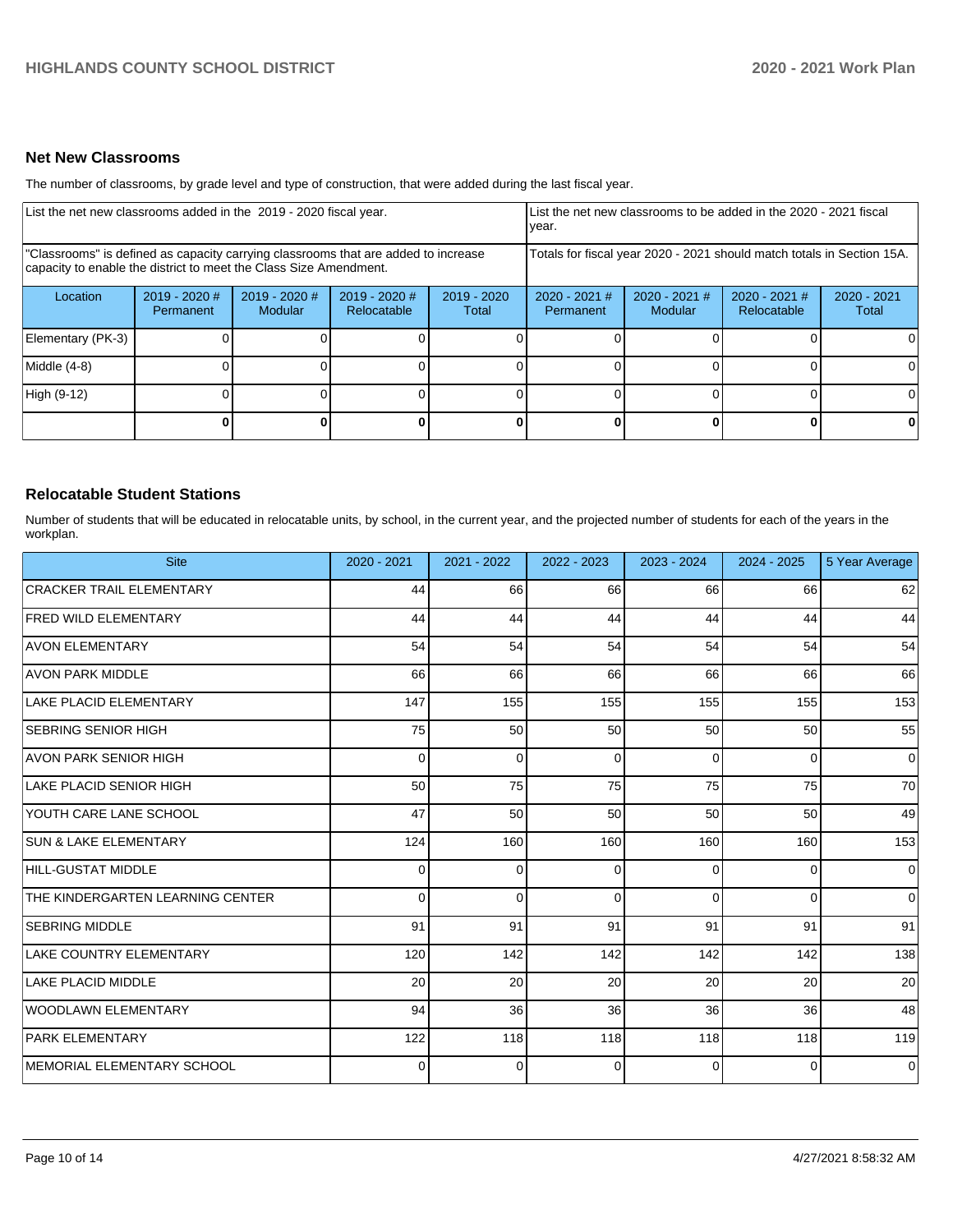### **Net New Classrooms**

The number of classrooms, by grade level and type of construction, that were added during the last fiscal year.

| List the net new classrooms added in the 2019 - 2020 fiscal year.                                                                                       |                                     |                            |                                |                        | List the net new classrooms to be added in the 2020 - 2021 fiscal<br>year. |                            |                                                                        |                        |
|---------------------------------------------------------------------------------------------------------------------------------------------------------|-------------------------------------|----------------------------|--------------------------------|------------------------|----------------------------------------------------------------------------|----------------------------|------------------------------------------------------------------------|------------------------|
| "Classrooms" is defined as capacity carrying classrooms that are added to increase<br>capacity to enable the district to meet the Class Size Amendment. |                                     |                            |                                |                        |                                                                            |                            | Totals for fiscal year 2020 - 2021 should match totals in Section 15A. |                        |
| Location                                                                                                                                                | $2019 - 2020$ #<br><b>Permanent</b> | $2019 - 2020$ #<br>Modular | $2019 - 2020$ #<br>Relocatable | $2019 - 2020$<br>Total | $2020 - 2021$ #<br><b>Permanent</b>                                        | $2020 - 2021$ #<br>Modular | $2020 - 2021$ #<br>Relocatable                                         | $2020 - 2021$<br>Total |
| Elementary (PK-3)                                                                                                                                       |                                     |                            |                                |                        |                                                                            |                            |                                                                        |                        |
| Middle (4-8)                                                                                                                                            |                                     |                            |                                |                        |                                                                            |                            |                                                                        |                        |
| High (9-12)                                                                                                                                             |                                     |                            |                                |                        |                                                                            |                            |                                                                        |                        |
|                                                                                                                                                         |                                     |                            |                                |                        |                                                                            |                            |                                                                        |                        |

#### **Relocatable Student Stations**

Number of students that will be educated in relocatable units, by school, in the current year, and the projected number of students for each of the years in the workplan.

| <b>Site</b>                      | 2020 - 2021 | $2021 - 2022$  | 2022 - 2023 | 2023 - 2024 | $2024 - 2025$   | 5 Year Average |
|----------------------------------|-------------|----------------|-------------|-------------|-----------------|----------------|
| <b>CRACKER TRAIL ELEMENTARY</b>  | 44          | 66             | 66          | 66          | 66              | 62             |
| <b>FRED WILD ELEMENTARY</b>      | 44          | 44             | 44          | 44          | 44              | 44             |
| <b>AVON ELEMENTARY</b>           | 54          | 54             | 54          | 54          | 54              | 54             |
| <b>AVON PARK MIDDLE</b>          | 66          | 66             | 66          | 66          | 66              | 66             |
| LAKE PLACID ELEMENTARY           | 147         | 155            | 155         | 155         | 155             | 153            |
| <b>SEBRING SENIOR HIGH</b>       | 75          | 50             | 50          | 50          | 50              | 55             |
| <b>AVON PARK SENIOR HIGH</b>     | $\Omega$    | $\mathbf 0$    | $\Omega$    | $\Omega$    | $\Omega$        | $\overline{0}$ |
| LAKE PLACID SENIOR HIGH          | 50          | 75             | 75          | 75          | 75              | 70             |
| YOUTH CARE LANE SCHOOL           | 47          | 50             | 50          | 50          | 50 <sub>1</sub> | 49             |
| <b>SUN &amp; LAKE ELEMENTARY</b> | 124         | 160            | 160         | 160         | 160             | 153            |
| HILL-GUSTAT MIDDLE               | $\Omega$    | $\overline{0}$ | $\Omega$    | $\Omega$    | $\overline{0}$  | $\overline{0}$ |
| THE KINDERGARTEN LEARNING CENTER | $\Omega$    | $\overline{0}$ | $\Omega$    | $\Omega$    | $\overline{0}$  | $\overline{0}$ |
| <b>SEBRING MIDDLE</b>            | 91          | 91             | 91          | 91          | 91              | 91             |
| <b>LAKE COUNTRY ELEMENTARY</b>   | 120         | 142            | 142         | 142         | 142             | 138            |
| LAKE PLACID MIDDLE               | 20          | 20             | 20          | 20          | 20              | 20             |
| WOODLAWN ELEMENTARY              | 94          | 36             | 36          | 36          | 36              | 48             |
| <b>PARK ELEMENTARY</b>           | 122         | 118            | 118         | 118         | 118             | 119            |
| IMEMORIAL ELEMENTARY SCHOOL      | $\Omega$    | 0              | $\Omega$    | $\Omega$    | $\Omega$        | $\overline{0}$ |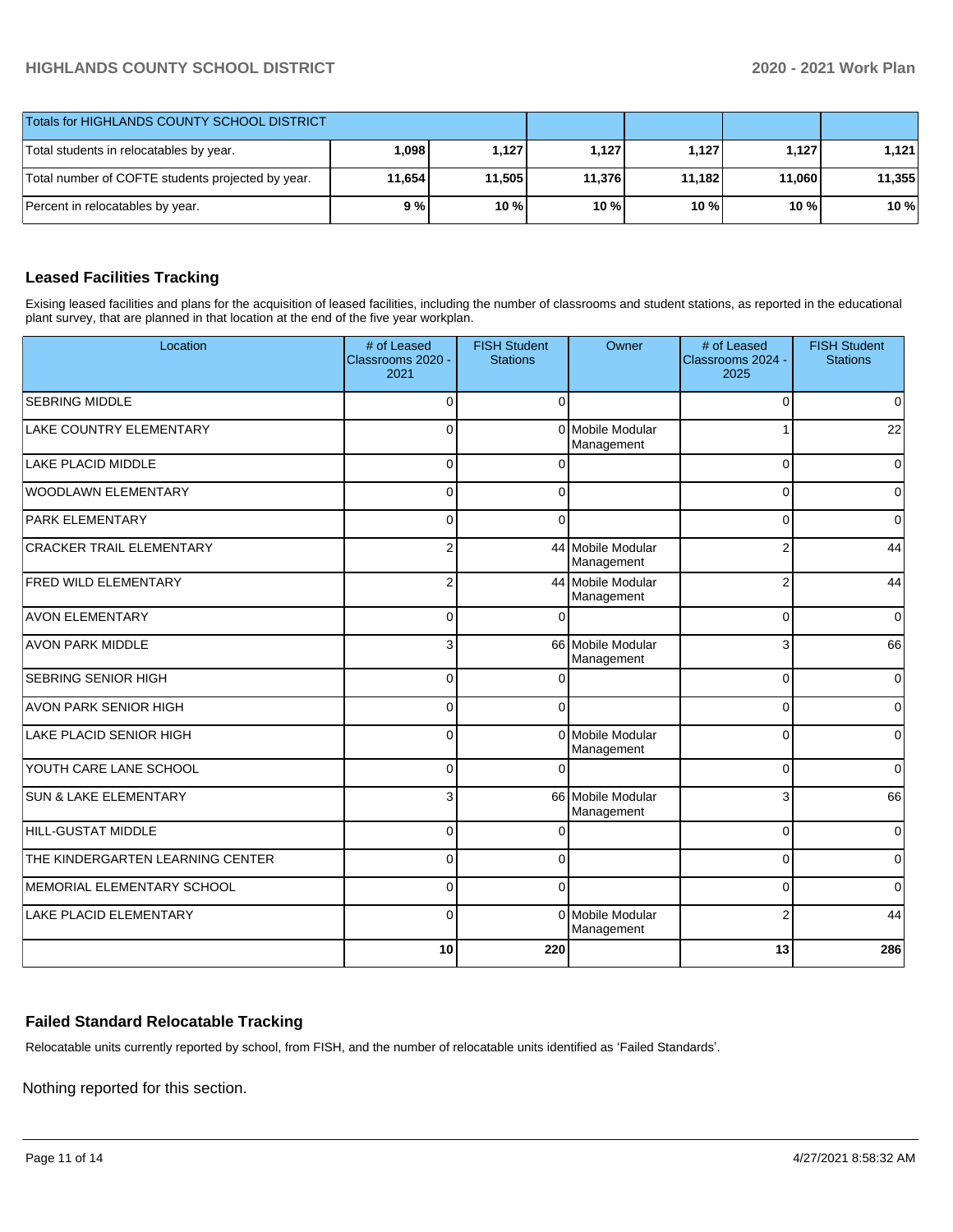| Totals for HIGHLANDS COUNTY SCHOOL DISTRICT       |          |        |        |        |        |        |
|---------------------------------------------------|----------|--------|--------|--------|--------|--------|
| Total students in relocatables by year.           | ا 098. ا | 1.127  | 1.127  | 1.127  | 1.127  | 1.121  |
| Total number of COFTE students projected by year. | 11,654   | 11.505 | 11.376 | 11.182 | 11,060 | 11,355 |
| Percent in relocatables by year.                  | 9%       | 10 %   | 10 %   | 10 %   | 10 %   | 10%    |

# **Leased Facilities Tracking**

Exising leased facilities and plans for the acquisition of leased facilities, including the number of classrooms and student stations, as reported in the educational plant survey, that are planned in that location at the end of the five year workplan.

| Location                         | # of Leased<br>Classrooms 2020 -<br>2021 | <b>FISH Student</b><br><b>Stations</b> | Owner                           | # of Leased<br>Classrooms 2024 -<br>2025 | <b>FISH Student</b><br><b>Stations</b> |
|----------------------------------|------------------------------------------|----------------------------------------|---------------------------------|------------------------------------------|----------------------------------------|
| <b>SEBRING MIDDLE</b>            | $\mathbf 0$                              | $\Omega$                               |                                 | $\Omega$                                 | 0                                      |
| <b>LAKE COUNTRY ELEMENTARY</b>   | $\Omega$                                 | $\Omega$                               | Mobile Modular<br>Management    |                                          | 22                                     |
| <b>LAKE PLACID MIDDLE</b>        | $\Omega$                                 |                                        |                                 | $\Omega$                                 | $\overline{0}$                         |
| WOODLAWN ELEMENTARY              | $\Omega$                                 | $\Omega$                               |                                 | $\Omega$                                 | $\mathbf 0$                            |
| <b>PARK ELEMENTARY</b>           | $\Omega$                                 | $\Omega$                               |                                 | 0                                        | 0                                      |
| <b>CRACKER TRAIL ELEMENTARY</b>  | $\overline{2}$                           |                                        | 44 Mobile Modular<br>Management | 2                                        | 44                                     |
| <b>FRED WILD ELEMENTARY</b>      | $\overline{c}$                           |                                        | 44 Mobile Modular<br>Management | $\overline{2}$                           | 44                                     |
| <b>AVON ELEMENTARY</b>           | $\Omega$                                 |                                        |                                 | $\Omega$                                 | $\overline{0}$                         |
| <b>AVON PARK MIDDLE</b>          | 3                                        |                                        | 66 Mobile Modular<br>Management | 3                                        | 66                                     |
| <b>SEBRING SENIOR HIGH</b>       | $\Omega$                                 | ſ                                      |                                 | $\Omega$                                 | $\mathbf 0$                            |
| <b>AVON PARK SENIOR HIGH</b>     | $\Omega$                                 | $\Omega$                               |                                 | $\Omega$                                 | 0                                      |
| LAKE PLACID SENIOR HIGH          | $\mathbf 0$                              | $\Omega$                               | Mobile Modular<br>Management    | $\Omega$                                 | 0                                      |
| YOUTH CARE LANE SCHOOL           | $\mathbf 0$                              |                                        |                                 | $\Omega$                                 | $\overline{0}$                         |
| <b>SUN &amp; LAKE ELEMENTARY</b> | 3                                        |                                        | 66 Mobile Modular<br>Management | 3                                        | 66                                     |
| <b>HILL-GUSTAT MIDDLE</b>        | $\mathbf 0$                              | $\sqrt{ }$                             |                                 | $\Omega$                                 | 0                                      |
| THE KINDERGARTEN LEARNING CENTER | $\mathbf 0$                              | $\Omega$                               |                                 | $\Omega$                                 | 0                                      |
| MEMORIAL ELEMENTARY SCHOOL       | $\Omega$                                 | $\Omega$                               |                                 | $\Omega$                                 | 0                                      |
| <b>LAKE PLACID ELEMENTARY</b>    | $\Omega$                                 |                                        | 0 Mobile Modular<br>Management  | $\overline{2}$                           | 44                                     |
|                                  | 10                                       | 220                                    |                                 | 13                                       | 286                                    |

# **Failed Standard Relocatable Tracking**

Relocatable units currently reported by school, from FISH, and the number of relocatable units identified as 'Failed Standards'.

Nothing reported for this section.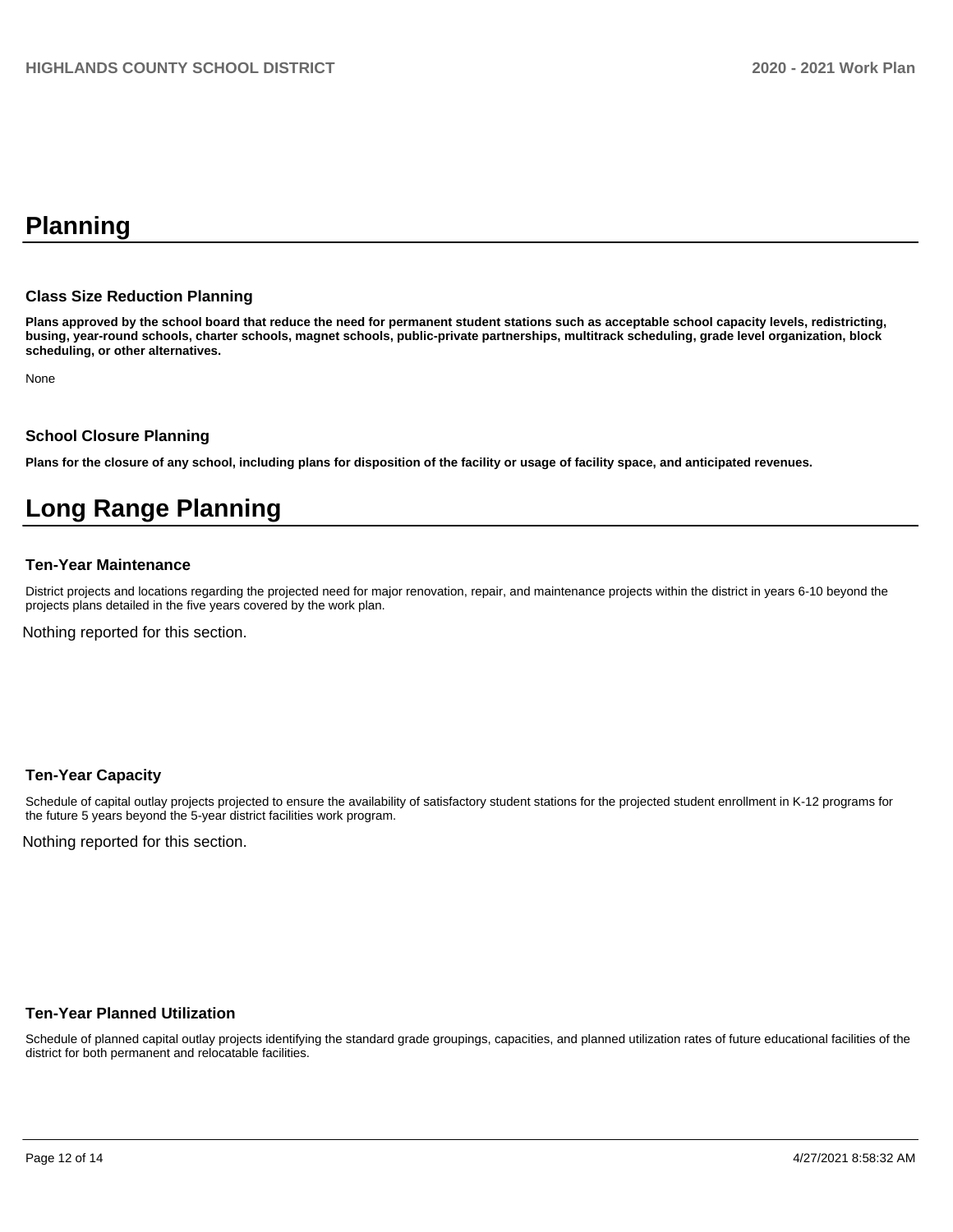# **Planning**

#### **Class Size Reduction Planning**

**Plans approved by the school board that reduce the need for permanent student stations such as acceptable school capacity levels, redistricting, busing, year-round schools, charter schools, magnet schools, public-private partnerships, multitrack scheduling, grade level organization, block scheduling, or other alternatives.**

None

#### **School Closure Planning**

**Plans for the closure of any school, including plans for disposition of the facility or usage of facility space, and anticipated revenues.** 

# **Long Range Planning**

#### **Ten-Year Maintenance**

District projects and locations regarding the projected need for major renovation, repair, and maintenance projects within the district in years 6-10 beyond the projects plans detailed in the five years covered by the work plan.

Nothing reported for this section.

#### **Ten-Year Capacity**

Schedule of capital outlay projects projected to ensure the availability of satisfactory student stations for the projected student enrollment in K-12 programs for the future 5 years beyond the 5-year district facilities work program.

Nothing reported for this section.

#### **Ten-Year Planned Utilization**

Schedule of planned capital outlay projects identifying the standard grade groupings, capacities, and planned utilization rates of future educational facilities of the district for both permanent and relocatable facilities.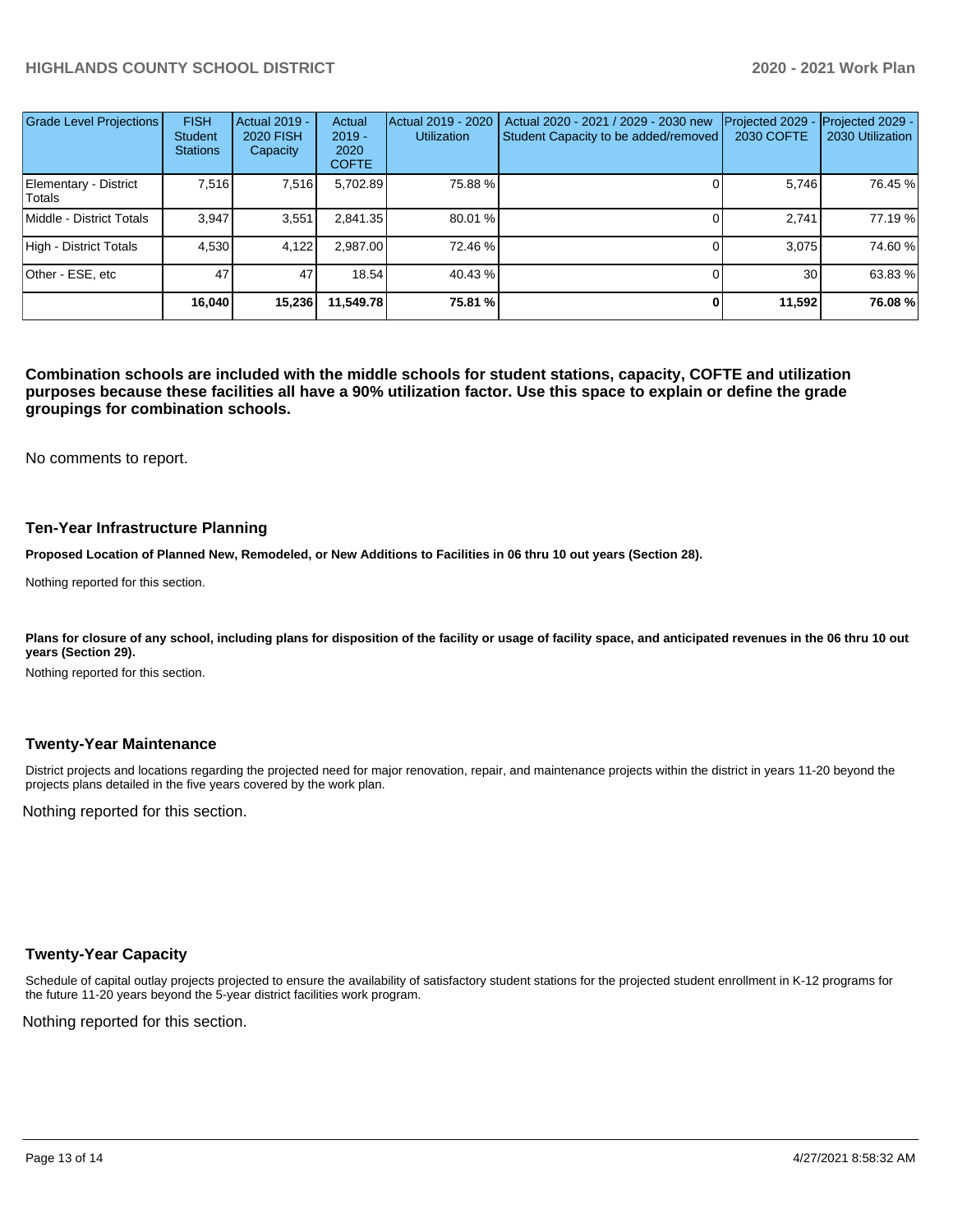| <b>Grade Level Projections</b>  | <b>FISH</b><br><b>Student</b><br><b>Stations</b> | <b>Actual 2019 -</b><br><b>2020 FISH</b><br>Capacity | Actual<br>$2019 -$<br>2020<br><b>COFTE</b> | Actual 2019 - 2020<br><b>Utilization</b> | Actual 2020 - 2021 / 2029 - 2030 new<br>Student Capacity to be added/removed | Projected 2029<br>2030 COFTE | Projected 2029 -<br>2030 Utilization |
|---------------------------------|--------------------------------------------------|------------------------------------------------------|--------------------------------------------|------------------------------------------|------------------------------------------------------------------------------|------------------------------|--------------------------------------|
| Elementary - District<br>Totals | 7.516                                            | 7,516                                                | 5,702.89                                   | 75.88%                                   |                                                                              | 5,746                        | 76.45 %                              |
| Middle - District Totals        | 3.947                                            | 3,551                                                | 2,841.35                                   | 80.01 %                                  |                                                                              | 2.741                        | 77.19 %                              |
| High - District Totals          | 4.530                                            | 4.122                                                | 2.987.00                                   | 72.46 %                                  |                                                                              | 3.075                        | 74.60%                               |
| Other - ESE, etc                | 47                                               | 47                                                   | 18.54                                      | 40.43 %                                  |                                                                              | 30                           | 63.83 %                              |
|                                 | 16.040                                           | 15,236                                               | 11.549.78                                  | 75.81 %                                  |                                                                              | 11,592                       | 76.08%                               |

**Combination schools are included with the middle schools for student stations, capacity, COFTE and utilization purposes because these facilities all have a 90% utilization factor. Use this space to explain or define the grade groupings for combination schools.** 

No comments to report.

#### **Ten-Year Infrastructure Planning**

**Proposed Location of Planned New, Remodeled, or New Additions to Facilities in 06 thru 10 out years (Section 28).**

Nothing reported for this section.

Plans for closure of any school, including plans for disposition of the facility or usage of facility space, and anticipated revenues in the 06 thru 10 out **years (Section 29).**

Nothing reported for this section.

#### **Twenty-Year Maintenance**

District projects and locations regarding the projected need for major renovation, repair, and maintenance projects within the district in years 11-20 beyond the projects plans detailed in the five years covered by the work plan.

Nothing reported for this section.

#### **Twenty-Year Capacity**

Schedule of capital outlay projects projected to ensure the availability of satisfactory student stations for the projected student enrollment in K-12 programs for the future 11-20 years beyond the 5-year district facilities work program.

Nothing reported for this section.